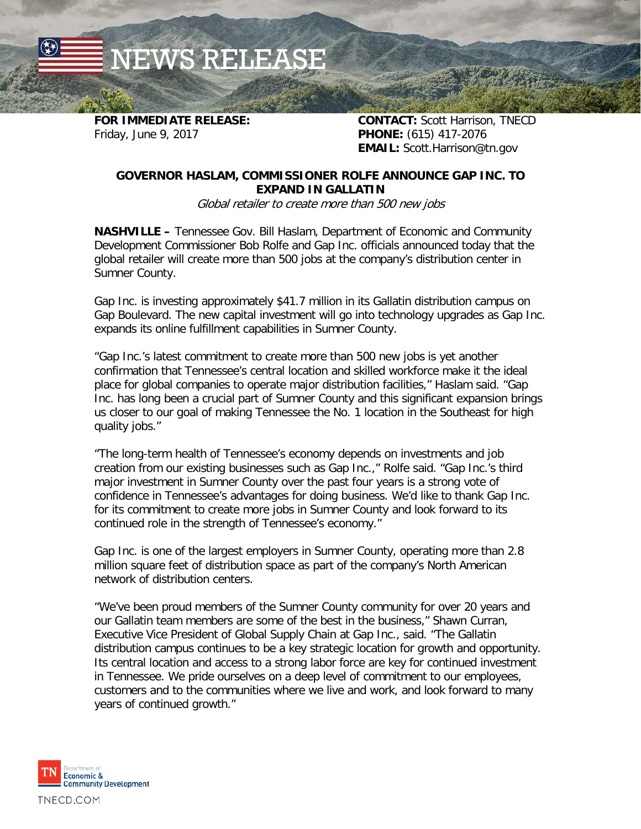NEWS RELEASE

**FOR IMMEDIATE RELEASE: CONTACT:** Scott Harrison, TNECD Friday, June 9, 2017 **PHONE:** (615) 417-2076 **EMAIL:** Scott.Harrison@tn.gov

## **GOVERNOR HASLAM, COMMISSIONER ROLFE ANNOUNCE GAP INC. TO EXPAND IN GALLATIN**

Global retailer to create more than 500 new jobs

**NASHVILLE –** Tennessee Gov. Bill Haslam, Department of Economic and Community Development Commissioner Bob Rolfe and Gap Inc. officials announced today that the global retailer will create more than 500 jobs at the company's distribution center in Sumner County.

Gap Inc. is investing approximately \$41.7 million in its Gallatin distribution campus on Gap Boulevard. The new capital investment will go into technology upgrades as Gap Inc. expands its online fulfillment capabilities in Sumner County.

"Gap Inc.'s latest commitment to create more than 500 new jobs is yet another confirmation that Tennessee's central location and skilled workforce make it the ideal place for global companies to operate major distribution facilities," Haslam said. "Gap Inc. has long been a crucial part of Sumner County and this significant expansion brings us closer to our goal of making Tennessee the No. 1 location in the Southeast for high quality jobs."

"The long-term health of Tennessee's economy depends on investments and job creation from our existing businesses such as Gap Inc.," Rolfe said. "Gap Inc.'s third major investment in Sumner County over the past four years is a strong vote of confidence in Tennessee's advantages for doing business. We'd like to thank Gap Inc. for its commitment to create more jobs in Sumner County and look forward to its continued role in the strength of Tennessee's economy."

Gap Inc. is one of the largest employers in Sumner County, operating more than 2.8 million square feet of distribution space as part of the company's North American network of distribution centers.

"We've been proud members of the Sumner County community for over 20 years and our Gallatin team members are some of the best in the business," Shawn Curran, Executive Vice President of Global Supply Chain at Gap Inc., said. "The Gallatin distribution campus continues to be a key strategic location for growth and opportunity. Its central location and access to a strong labor force are key for continued investment in Tennessee. We pride ourselves on a deep level of commitment to our employees, customers and to the communities where we live and work, and look forward to many years of continued growth."